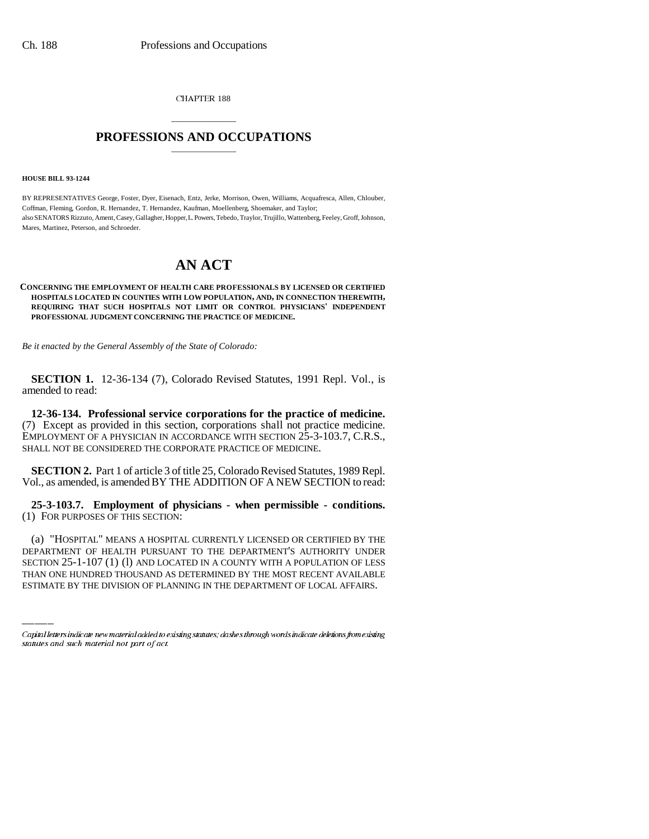CHAPTER 188

## \_\_\_\_\_\_\_\_\_\_\_\_\_\_\_ **PROFESSIONS AND OCCUPATIONS** \_\_\_\_\_\_\_\_\_\_\_\_\_\_\_

**HOUSE BILL 93-1244**

BY REPRESENTATIVES George, Foster, Dyer, Eisenach, Entz, Jerke, Morrison, Owen, Williams, Acquafresca, Allen, Chlouber, Coffman, Fleming, Gordon, R. Hernandez, T. Hernandez, Kaufman, Moellenberg, Shoemaker, and Taylor; also SENATORS Rizzuto, Ament, Casey, Gallagher, Hopper, L. Powers, Tebedo, Traylor, Trujillo, Wattenberg, Feeley, Groff, Johnson, Mares, Martinez, Peterson, and Schroeder.

## **AN ACT**

## **CONCERNING THE EMPLOYMENT OF HEALTH CARE PROFESSIONALS BY LICENSED OR CERTIFIED HOSPITALS LOCATED IN COUNTIES WITH LOW POPULATION, AND, IN CONNECTION THEREWITH, REQUIRING THAT SUCH HOSPITALS NOT LIMIT OR CONTROL PHYSICIANS' INDEPENDENT PROFESSIONAL JUDGMENT CONCERNING THE PRACTICE OF MEDICINE.**

*Be it enacted by the General Assembly of the State of Colorado:*

**SECTION 1.** 12-36-134 (7), Colorado Revised Statutes, 1991 Repl. Vol., is amended to read:

**12-36-134. Professional service corporations for the practice of medicine.** (7) Except as provided in this section, corporations shall not practice medicine. EMPLOYMENT OF A PHYSICIAN IN ACCORDANCE WITH SECTION 25-3-103.7, C.R.S., SHALL NOT BE CONSIDERED THE CORPORATE PRACTICE OF MEDICINE.

**SECTION 2.** Part 1 of article 3 of title 25, Colorado Revised Statutes, 1989 Repl. Vol., as amended, is amended BY THE ADDITION OF A NEW SECTION to read:

**25-3-103.7. Employment of physicians - when permissible - conditions.** (1) FOR PURPOSES OF THIS SECTION:

(a) HOSPITAL MEANS A HOSPITAL CURRENTLY LICENSED OR CERTIFIED BY THE<br>DEPARTMENT OF HEALTH PURSUANT TO THE DEPARTMENT'S AUTHORITY UNDER (a) "HOSPITAL" MEANS A HOSPITAL CURRENTLY LICENSED OR CERTIFIED BY THE SECTION 25-1-107 (1) (l) AND LOCATED IN A COUNTY WITH A POPULATION OF LESS THAN ONE HUNDRED THOUSAND AS DETERMINED BY THE MOST RECENT AVAILABLE ESTIMATE BY THE DIVISION OF PLANNING IN THE DEPARTMENT OF LOCAL AFFAIRS.

Capital letters indicate new material added to existing statutes; dashes through words indicate deletions from existing statutes and such material not part of act.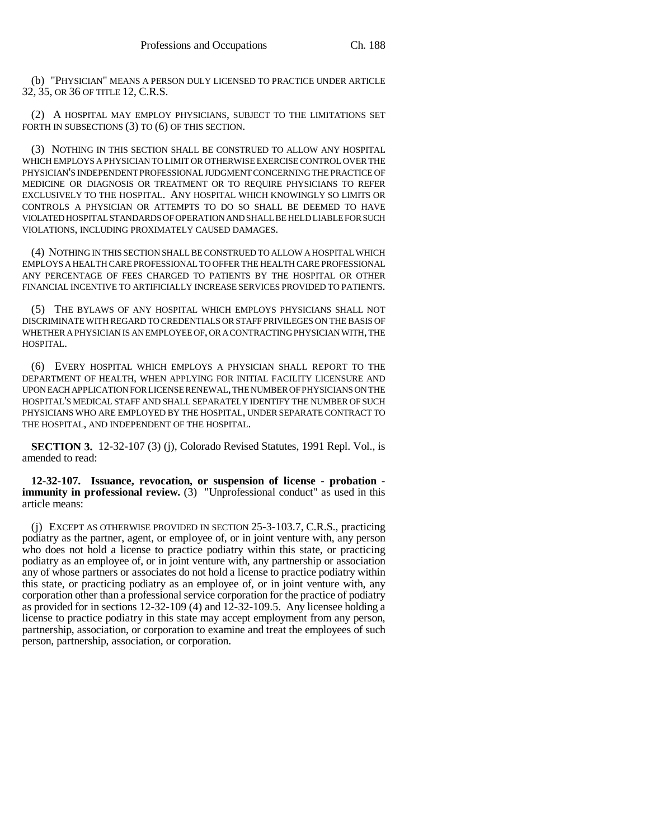(b) "PHYSICIAN" MEANS A PERSON DULY LICENSED TO PRACTICE UNDER ARTICLE 32, 35, OR 36 OF TITLE 12, C.R.S.

(2) A HOSPITAL MAY EMPLOY PHYSICIANS, SUBJECT TO THE LIMITATIONS SET FORTH IN SUBSECTIONS (3) TO (6) OF THIS SECTION.

(3) NOTHING IN THIS SECTION SHALL BE CONSTRUED TO ALLOW ANY HOSPITAL WHICH EMPLOYS A PHYSICIAN TO LIMIT OR OTHERWISE EXERCISE CONTROL OVER THE PHYSICIAN'S INDEPENDENT PROFESSIONAL JUDGMENT CONCERNING THE PRACTICE OF MEDICINE OR DIAGNOSIS OR TREATMENT OR TO REQUIRE PHYSICIANS TO REFER EXCLUSIVELY TO THE HOSPITAL. ANY HOSPITAL WHICH KNOWINGLY SO LIMITS OR CONTROLS A PHYSICIAN OR ATTEMPTS TO DO SO SHALL BE DEEMED TO HAVE VIOLATED HOSPITAL STANDARDS OF OPERATION AND SHALL BE HELD LIABLE FOR SUCH VIOLATIONS, INCLUDING PROXIMATELY CAUSED DAMAGES.

(4) NOTHING IN THIS SECTION SHALL BE CONSTRUED TO ALLOW A HOSPITAL WHICH EMPLOYS A HEALTH CARE PROFESSIONAL TO OFFER THE HEALTH CARE PROFESSIONAL ANY PERCENTAGE OF FEES CHARGED TO PATIENTS BY THE HOSPITAL OR OTHER FINANCIAL INCENTIVE TO ARTIFICIALLY INCREASE SERVICES PROVIDED TO PATIENTS.

(5) THE BYLAWS OF ANY HOSPITAL WHICH EMPLOYS PHYSICIANS SHALL NOT DISCRIMINATE WITH REGARD TO CREDENTIALS OR STAFF PRIVILEGES ON THE BASIS OF WHETHER A PHYSICIAN IS AN EMPLOYEE OF, OR A CONTRACTING PHYSICIAN WITH, THE HOSPITAL.

(6) EVERY HOSPITAL WHICH EMPLOYS A PHYSICIAN SHALL REPORT TO THE DEPARTMENT OF HEALTH, WHEN APPLYING FOR INITIAL FACILITY LICENSURE AND UPON EACH APPLICATION FOR LICENSE RENEWAL, THE NUMBER OF PHYSICIANS ON THE HOSPITAL'S MEDICAL STAFF AND SHALL SEPARATELY IDENTIFY THE NUMBER OF SUCH PHYSICIANS WHO ARE EMPLOYED BY THE HOSPITAL, UNDER SEPARATE CONTRACT TO THE HOSPITAL, AND INDEPENDENT OF THE HOSPITAL.

**SECTION 3.** 12-32-107 (3) (j), Colorado Revised Statutes, 1991 Repl. Vol., is amended to read:

**12-32-107. Issuance, revocation, or suspension of license - probation immunity in professional review.** (3) "Unprofessional conduct" as used in this article means:

(j) EXCEPT AS OTHERWISE PROVIDED IN SECTION 25-3-103.7, C.R.S., practicing podiatry as the partner, agent, or employee of, or in joint venture with, any person who does not hold a license to practice podiatry within this state, or practicing podiatry as an employee of, or in joint venture with, any partnership or association any of whose partners or associates do not hold a license to practice podiatry within this state, or practicing podiatry as an employee of, or in joint venture with, any corporation other than a professional service corporation for the practice of podiatry as provided for in sections 12-32-109 (4) and 12-32-109.5. Any licensee holding a license to practice podiatry in this state may accept employment from any person, partnership, association, or corporation to examine and treat the employees of such person, partnership, association, or corporation.